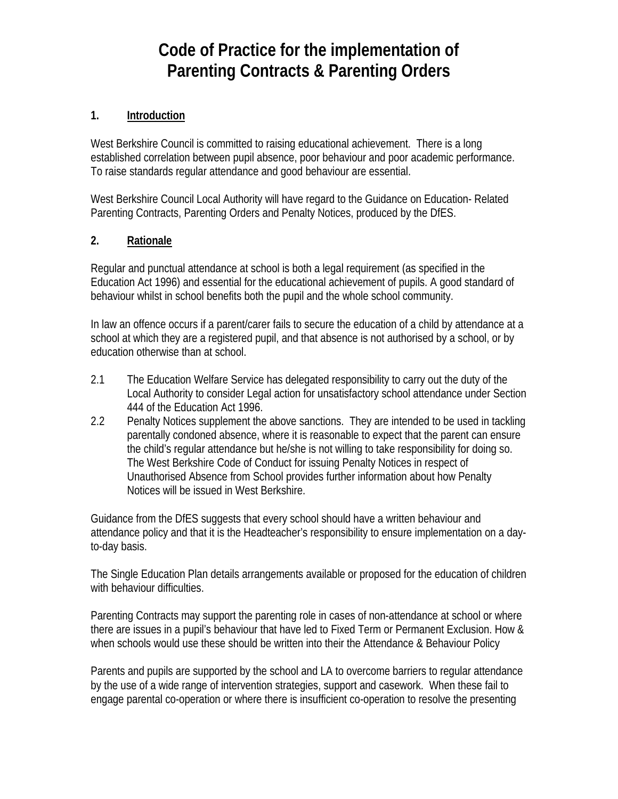# **Code of Practice for the implementation of Parenting Contracts & Parenting Orders**

# **1. Introduction**

West Berkshire Council is committed to raising educational achievement. There is a long established correlation between pupil absence, poor behaviour and poor academic performance. To raise standards regular attendance and good behaviour are essential.

West Berkshire Council Local Authority will have regard to the Guidance on Education- Related Parenting Contracts, Parenting Orders and Penalty Notices, produced by the DfES.

### **2. Rationale**

Regular and punctual attendance at school is both a legal requirement (as specified in the Education Act 1996) and essential for the educational achievement of pupils. A good standard of behaviour whilst in school benefits both the pupil and the whole school community.

In law an offence occurs if a parent/carer fails to secure the education of a child by attendance at a school at which they are a registered pupil, and that absence is not authorised by a school, or by education otherwise than at school.

- 2.1 The Education Welfare Service has delegated responsibility to carry out the duty of the Local Authority to consider Legal action for unsatisfactory school attendance under Section 444 of the Education Act 1996.
- 2.2 Penalty Notices supplement the above sanctions. They are intended to be used in tackling parentally condoned absence, where it is reasonable to expect that the parent can ensure the child's regular attendance but he/she is not willing to take responsibility for doing so. The West Berkshire Code of Conduct for issuing Penalty Notices in respect of Unauthorised Absence from School provides further information about how Penalty Notices will be issued in West Berkshire.

Guidance from the DfES suggests that every school should have a written behaviour and attendance policy and that it is the Headteacher's responsibility to ensure implementation on a dayto-day basis.

The Single Education Plan details arrangements available or proposed for the education of children with behaviour difficulties.

Parenting Contracts may support the parenting role in cases of non-attendance at school or where there are issues in a pupil's behaviour that have led to Fixed Term or Permanent Exclusion. How & when schools would use these should be written into their the Attendance & Behaviour Policy

Parents and pupils are supported by the school and LA to overcome barriers to regular attendance by the use of a wide range of intervention strategies, support and casework. When these fail to engage parental co-operation or where there is insufficient co-operation to resolve the presenting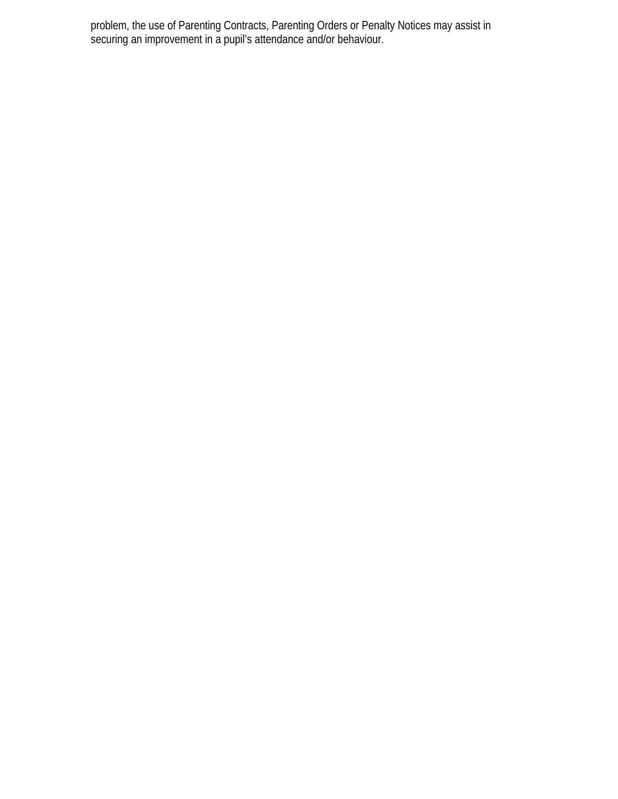problem, the use of Parenting Contracts, Parenting Orders or Penalty Notices may assist in securing an improvement in a pupil's attendance and/or behaviour.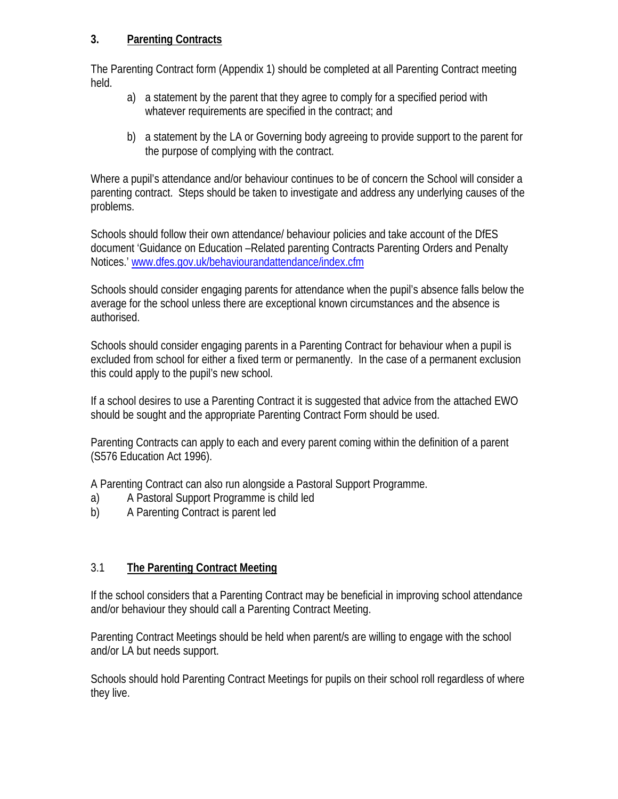### **3. Parenting Contracts**

The Parenting Contract form (Appendix 1) should be completed at all Parenting Contract meeting held.

- a) a statement by the parent that they agree to comply for a specified period with whatever requirements are specified in the contract; and
- b) a statement by the LA or Governing body agreeing to provide support to the parent for the purpose of complying with the contract.

Where a pupil's attendance and/or behaviour continues to be of concern the School will consider a parenting contract. Steps should be taken to investigate and address any underlying causes of the problems.

Schools should follow their own attendance/ behaviour policies and take account of the DfES document 'Guidance on Education –Related parenting Contracts Parenting Orders and Penalty Notices.' [www.dfes.gov.uk/behaviourandattendance/index.cfm](http://www.dfes.gov.uk/behaviourandattendance/index.cfm)

Schools should consider engaging parents for attendance when the pupil's absence falls below the average for the school unless there are exceptional known circumstances and the absence is authorised.

Schools should consider engaging parents in a Parenting Contract for behaviour when a pupil is excluded from school for either a fixed term or permanently. In the case of a permanent exclusion this could apply to the pupil's new school.

If a school desires to use a Parenting Contract it is suggested that advice from the attached EWO should be sought and the appropriate Parenting Contract Form should be used.

Parenting Contracts can apply to each and every parent coming within the definition of a parent (S576 Education Act 1996).

A Parenting Contract can also run alongside a Pastoral Support Programme.

- a) A Pastoral Support Programme is child led
- b) A Parenting Contract is parent led

# 3.1 **The Parenting Contract Meeting**

If the school considers that a Parenting Contract may be beneficial in improving school attendance and/or behaviour they should call a Parenting Contract Meeting.

Parenting Contract Meetings should be held when parent/s are willing to engage with the school and/or LA but needs support.

Schools should hold Parenting Contract Meetings for pupils on their school roll regardless of where they live.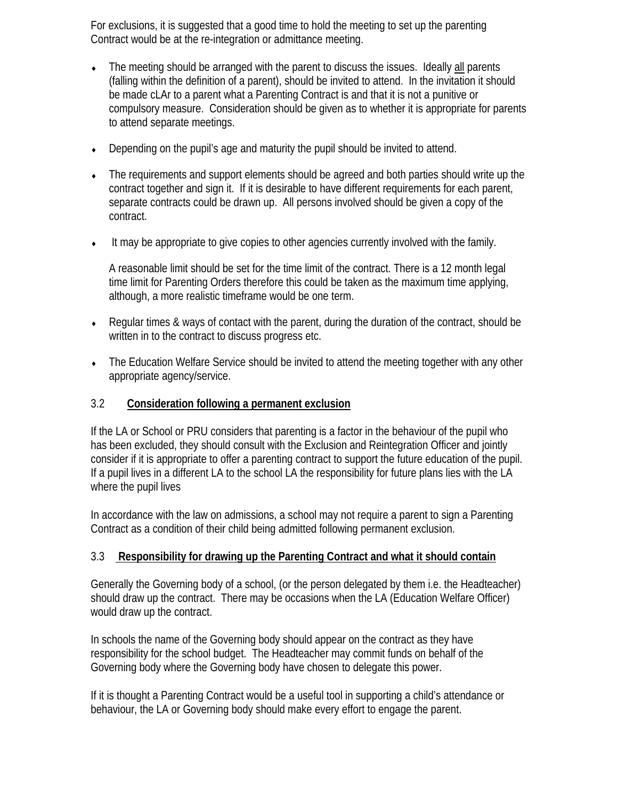For exclusions, it is suggested that a good time to hold the meeting to set up the parenting Contract would be at the re-integration or admittance meeting.

- The meeting should be arranged with the parent to discuss the issues. Ideally all parents (falling within the definition of a parent), should be invited to attend. In the invitation it should be made cLAr to a parent what a Parenting Contract is and that it is not a punitive or compulsory measure. Consideration should be given as to whether it is appropriate for parents to attend separate meetings.
- Depending on the pupil's age and maturity the pupil should be invited to attend.
- The requirements and support elements should be agreed and both parties should write up the contract together and sign it. If it is desirable to have different requirements for each parent, separate contracts could be drawn up. All persons involved should be given a copy of the contract.
- ♦ It may be appropriate to give copies to other agencies currently involved with the family.

A reasonable limit should be set for the time limit of the contract. There is a 12 month legal time limit for Parenting Orders therefore this could be taken as the maximum time applying, although, a more realistic timeframe would be one term.

- $\bullet$  Regular times & ways of contact with the parent, during the duration of the contract, should be written in to the contract to discuss progress etc.
- The Education Welfare Service should be invited to attend the meeting together with any other appropriate agency/service.

#### 3.2 **Consideration following a permanent exclusion**

If the LA or School or PRU considers that parenting is a factor in the behaviour of the pupil who has been excluded, they should consult with the Exclusion and Reintegration Officer and jointly consider if it is appropriate to offer a parenting contract to support the future education of the pupil. If a pupil lives in a different LA to the school LA the responsibility for future plans lies with the LA where the pupil lives

In accordance with the law on admissions, a school may not require a parent to sign a Parenting Contract as a condition of their child being admitted following permanent exclusion.

#### 3.3 **Responsibility for drawing up the Parenting Contract and what it should contain**

Generally the Governing body of a school, (or the person delegated by them i.e. the Headteacher) should draw up the contract. There may be occasions when the LA (Education Welfare Officer) would draw up the contract.

In schools the name of the Governing body should appear on the contract as they have responsibility for the school budget. The Headteacher may commit funds on behalf of the Governing body where the Governing body have chosen to delegate this power.

If it is thought a Parenting Contract would be a useful tool in supporting a child's attendance or behaviour, the LA or Governing body should make every effort to engage the parent.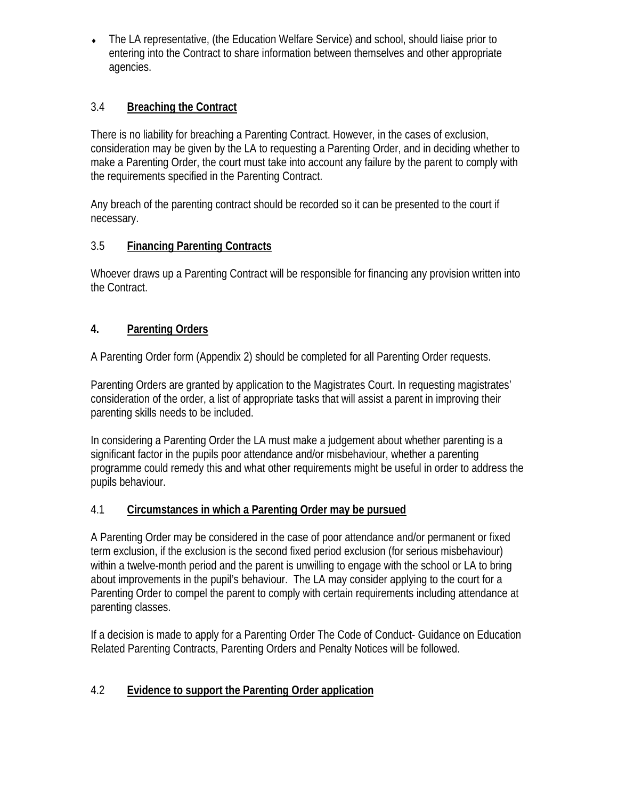The LA representative, (the Education Welfare Service) and school, should liaise prior to entering into the Contract to share information between themselves and other appropriate agencies.

# 3.4 **Breaching the Contract**

There is no liability for breaching a Parenting Contract. However, in the cases of exclusion, consideration may be given by the LA to requesting a Parenting Order, and in deciding whether to make a Parenting Order, the court must take into account any failure by the parent to comply with the requirements specified in the Parenting Contract.

Any breach of the parenting contract should be recorded so it can be presented to the court if necessary.

# 3.5 **Financing Parenting Contracts**

Whoever draws up a Parenting Contract will be responsible for financing any provision written into the Contract.

# **4. Parenting Orders**

A Parenting Order form (Appendix 2) should be completed for all Parenting Order requests.

Parenting Orders are granted by application to the Magistrates Court. In requesting magistrates' consideration of the order, a list of appropriate tasks that will assist a parent in improving their parenting skills needs to be included.

In considering a Parenting Order the LA must make a judgement about whether parenting is a significant factor in the pupils poor attendance and/or misbehaviour, whether a parenting programme could remedy this and what other requirements might be useful in order to address the pupils behaviour.

# 4.1 **Circumstances in which a Parenting Order may be pursued**

A Parenting Order may be considered in the case of poor attendance and/or permanent or fixed term exclusion, if the exclusion is the second fixed period exclusion (for serious misbehaviour) within a twelve-month period and the parent is unwilling to engage with the school or LA to bring about improvements in the pupil's behaviour. The LA may consider applying to the court for a Parenting Order to compel the parent to comply with certain requirements including attendance at parenting classes.

If a decision is made to apply for a Parenting Order The Code of Conduct- Guidance on Education Related Parenting Contracts, Parenting Orders and Penalty Notices will be followed.

# 4.2 **Evidence to support the Parenting Order application**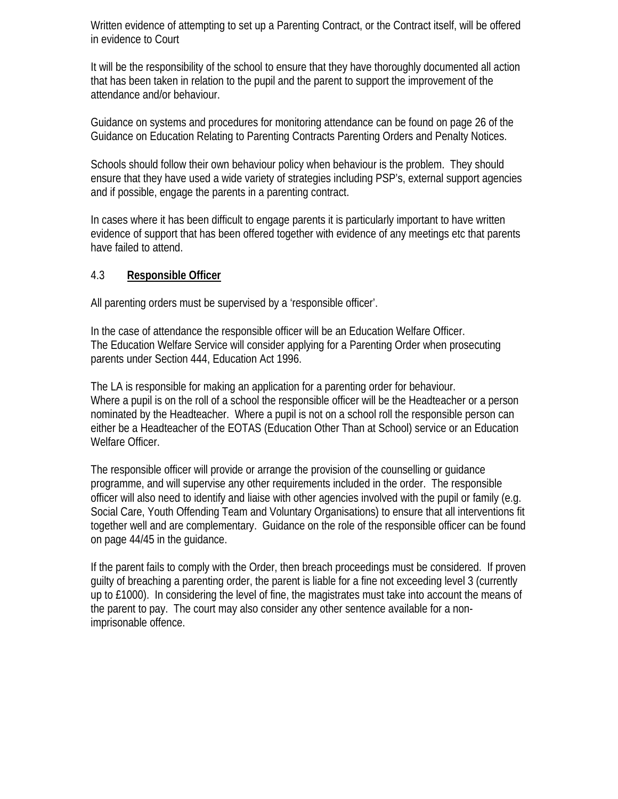Written evidence of attempting to set up a Parenting Contract, or the Contract itself, will be offered in evidence to Court

It will be the responsibility of the school to ensure that they have thoroughly documented all action that has been taken in relation to the pupil and the parent to support the improvement of the attendance and/or behaviour.

Guidance on systems and procedures for monitoring attendance can be found on page 26 of the Guidance on Education Relating to Parenting Contracts Parenting Orders and Penalty Notices.

Schools should follow their own behaviour policy when behaviour is the problem. They should ensure that they have used a wide variety of strategies including PSP's, external support agencies and if possible, engage the parents in a parenting contract.

In cases where it has been difficult to engage parents it is particularly important to have written evidence of support that has been offered together with evidence of any meetings etc that parents have failed to attend.

### 4.3 **Responsible Officer**

All parenting orders must be supervised by a 'responsible officer'.

In the case of attendance the responsible officer will be an Education Welfare Officer. The Education Welfare Service will consider applying for a Parenting Order when prosecuting parents under Section 444, Education Act 1996.

The LA is responsible for making an application for a parenting order for behaviour. Where a pupil is on the roll of a school the responsible officer will be the Headteacher or a person nominated by the Headteacher. Where a pupil is not on a school roll the responsible person can either be a Headteacher of the EOTAS (Education Other Than at School) service or an Education Welfare Officer.

The responsible officer will provide or arrange the provision of the counselling or guidance programme, and will supervise any other requirements included in the order. The responsible officer will also need to identify and liaise with other agencies involved with the pupil or family (e.g. Social Care, Youth Offending Team and Voluntary Organisations) to ensure that all interventions fit together well and are complementary. Guidance on the role of the responsible officer can be found on page 44/45 in the guidance.

If the parent fails to comply with the Order, then breach proceedings must be considered. If proven guilty of breaching a parenting order, the parent is liable for a fine not exceeding level 3 (currently up to £1000). In considering the level of fine, the magistrates must take into account the means of the parent to pay. The court may also consider any other sentence available for a nonimprisonable offence.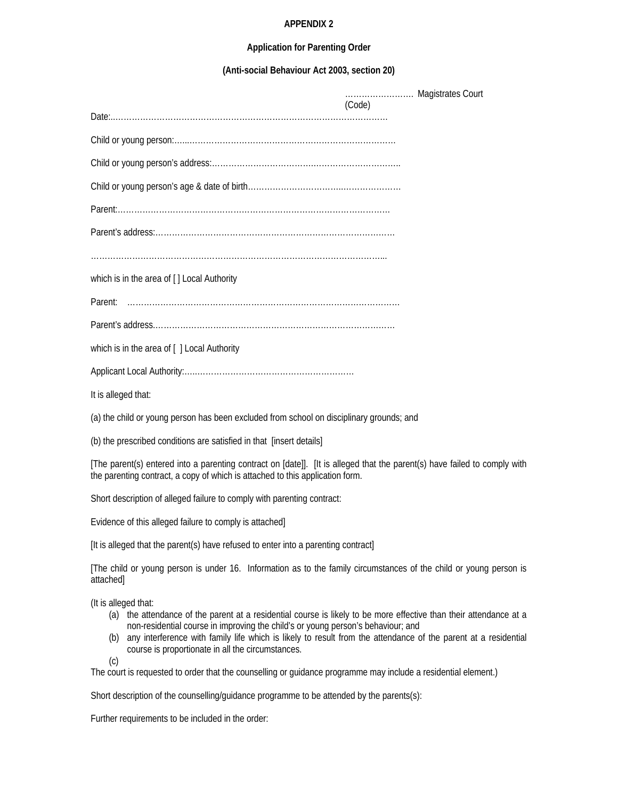#### **APPENDIX 2**

#### **Application for Parenting Order**

**(Anti-social Behaviour Act 2003, section 20)**

|                                                                                          | (Code) |
|------------------------------------------------------------------------------------------|--------|
|                                                                                          |        |
|                                                                                          |        |
|                                                                                          |        |
|                                                                                          |        |
|                                                                                          |        |
|                                                                                          |        |
|                                                                                          |        |
| which is in the area of [] Local Authority                                               |        |
|                                                                                          |        |
|                                                                                          |        |
| which is in the area of [ ] Local Authority                                              |        |
|                                                                                          |        |
| It is alleged that:                                                                      |        |
| (a) the child or young person has been excluded from school on disciplinary grounds; and |        |

(b) the prescribed conditions are satisfied in that [insert details]

[The parent(s) entered into a parenting contract on [date]]. [It is alleged that the parent(s) have failed to comply with the parenting contract, a copy of which is attached to this application form.

Short description of alleged failure to comply with parenting contract:

Evidence of this alleged failure to comply is attached]

[It is alleged that the parent(s) have refused to enter into a parenting contract]

[The child or young person is under 16. Information as to the family circumstances of the child or young person is attached]

(It is alleged that:

- (a) the attendance of the parent at a residential course is likely to be more effective than their attendance at a non-residential course in improving the child's or young person's behaviour; and
- (b) any interference with family life which is likely to result from the attendance of the parent at a residential course is proportionate in all the circumstances.

(c)

The court is requested to order that the counselling or guidance programme may include a residential element.)

Short description of the counselling/guidance programme to be attended by the parents(s):

Further requirements to be included in the order: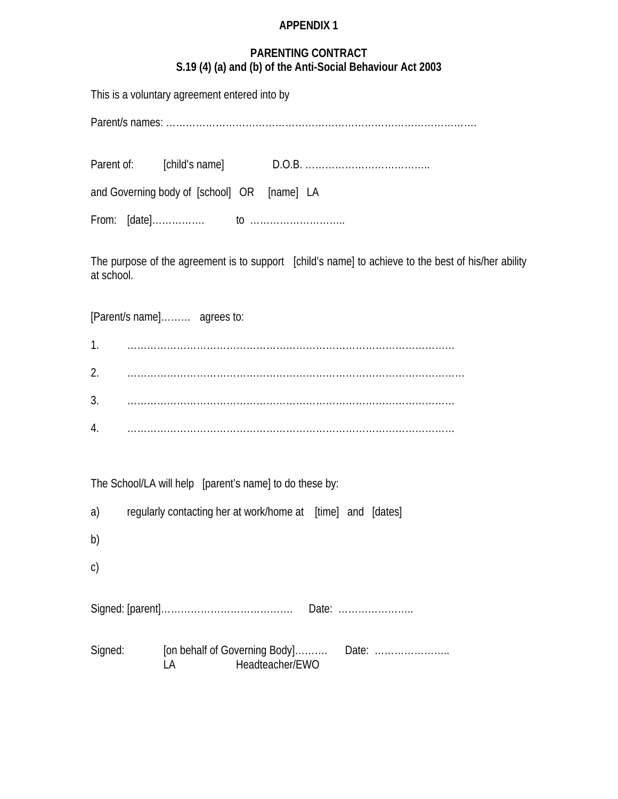# **APPENDIX 1**

# **PARENTING CONTRACT S.19 (4) (a) and (b) of the Anti-Social Behaviour Act 2003**

|            | This is a voluntary agreement entered into by               |                 |                                                                                                     |
|------------|-------------------------------------------------------------|-----------------|-----------------------------------------------------------------------------------------------------|
|            |                                                             |                 |                                                                                                     |
|            |                                                             |                 |                                                                                                     |
|            | and Governing body of [school] OR [name] LA                 |                 |                                                                                                     |
|            |                                                             |                 |                                                                                                     |
| at school. |                                                             |                 | The purpose of the agreement is to support [child's name] to achieve to the best of his/her ability |
|            | [Parent/s name] agrees to:                                  |                 |                                                                                                     |
| 1.         |                                                             |                 |                                                                                                     |
| 2.         |                                                             |                 |                                                                                                     |
| 3.         |                                                             |                 |                                                                                                     |
| 4.         |                                                             |                 |                                                                                                     |
|            | The School/LA will help [parent's name] to do these by:     |                 |                                                                                                     |
| a)         | regularly contacting her at work/home at [time] and [dates] |                 |                                                                                                     |
| b)         |                                                             |                 |                                                                                                     |
| C)         |                                                             |                 |                                                                                                     |
|            |                                                             |                 | Date:                                                                                               |
| Signed:    | [on behalf of Governing Body]<br>LA                         | Headteacher/EWO | Date:                                                                                               |